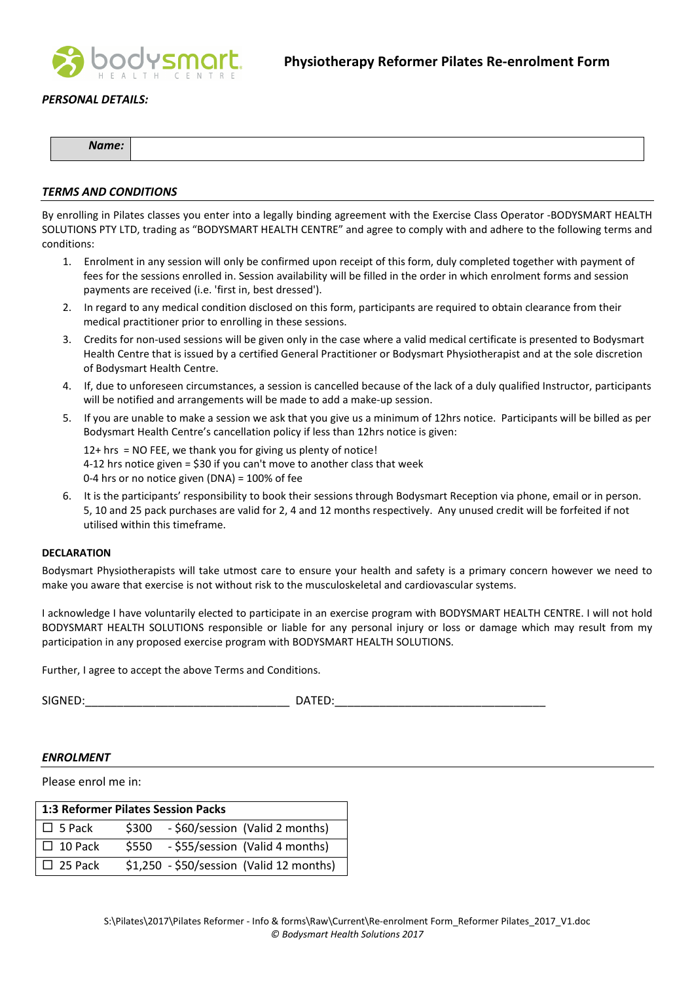

## PERSONAL DETAILS:

| Name: |  |
|-------|--|

#### TERMS AND CONDITIONS

By enrolling in Pilates classes you enter into a legally binding agreement with the Exercise Class Operator -BODYSMART HEALTH SOLUTIONS PTY LTD, trading as "BODYSMART HEALTH CENTRE" and agree to comply with and adhere to the following terms and conditions:

- 1. Enrolment in any session will only be confirmed upon receipt of this form, duly completed together with payment of fees for the sessions enrolled in. Session availability will be filled in the order in which enrolment forms and session payments are received (i.e. 'first in, best dressed').
- 2. In regard to any medical condition disclosed on this form, participants are required to obtain clearance from their medical practitioner prior to enrolling in these sessions.
- 3. Credits for non-used sessions will be given only in the case where a valid medical certificate is presented to Bodysmart Health Centre that is issued by a certified General Practitioner or Bodysmart Physiotherapist and at the sole discretion of Bodysmart Health Centre.
- 4. If, due to unforeseen circumstances, a session is cancelled because of the lack of a duly qualified Instructor, participants will be notified and arrangements will be made to add a make-up session.
- 5. If you are unable to make a session we ask that you give us a minimum of 12hrs notice. Participants will be billed as per Bodysmart Health Centre's cancellation policy if less than 12hrs notice is given:

12+ hrs = NO FEE, we thank you for giving us plenty of notice! 4-12 hrs notice given = \$30 if you can't move to another class that week 0-4 hrs or no notice given (DNA) = 100% of fee

6. It is the participants' responsibility to book their sessions through Bodysmart Reception via phone, email or in person. 5, 10 and 25 pack purchases are valid for 2, 4 and 12 months respectively. Any unused credit will be forfeited if not utilised within this timeframe.

#### DECLARATION

Bodysmart Physiotherapists will take utmost care to ensure your health and safety is a primary concern however we need to make you aware that exercise is not without risk to the musculoskeletal and cardiovascular systems.

I acknowledge I have voluntarily elected to participate in an exercise program with BODYSMART HEALTH CENTRE. I will not hold BODYSMART HEALTH SOLUTIONS responsible or liable for any personal injury or loss or damage which may result from my participation in any proposed exercise program with BODYSMART HEALTH SOLUTIONS.

Further, I agree to accept the above Terms and Conditions.

SIGNED:\_\_\_\_\_\_\_\_\_\_\_\_\_\_\_\_\_\_\_\_\_\_\_\_\_\_\_\_\_\_\_\_ DATED:\_\_\_\_\_\_\_\_\_\_\_\_\_\_\_\_\_\_\_\_\_\_\_\_\_\_\_\_\_\_\_\_\_

### ENROLMENT

Please enrol me in:

| <b>1:3 Reformer Pilates Session Packs</b> |       |  |                                          |  |  |  |
|-------------------------------------------|-------|--|------------------------------------------|--|--|--|
| $\Box$ 5 Pack                             | \$300 |  | - \$60/session (Valid 2 months)          |  |  |  |
| $\Box$ 10 Pack                            |       |  | \$550 - \$55/session (Valid 4 months)    |  |  |  |
| $\Box$ 25 Pack                            |       |  | \$1,250 - \$50/session (Valid 12 months) |  |  |  |